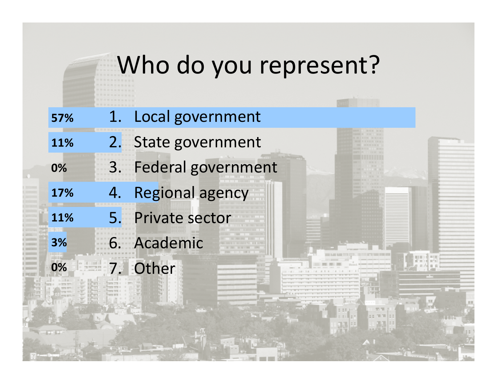## Who do you represent?

**NOTES IN STRUCTURE** 

- **57%**Local government 1.
- **11%** 2. State government
- **0%** 3 Federal government 3.
- **17%**4. Regional agency
- **11%** 5 Private sector 5.
- **3%** 6. Academic 7.**Other**

**0%**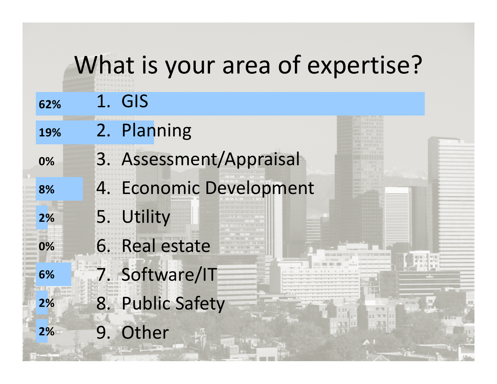|     |    | What is your area of expertise? |  |
|-----|----|---------------------------------|--|
| 62% |    | 1. GIS                          |  |
| 19% |    | 2. Planning                     |  |
| 0%  |    | 3. Assessment/Appraisal         |  |
| 8%  |    | 4. Economic Development         |  |
| 2%  |    | 5. Utility                      |  |
| 0%  |    | 6. Real estate                  |  |
| 6%  |    | 7. Software/IT                  |  |
| 2%  |    | 8. Public Safety                |  |
| 2%  | 9. | Other                           |  |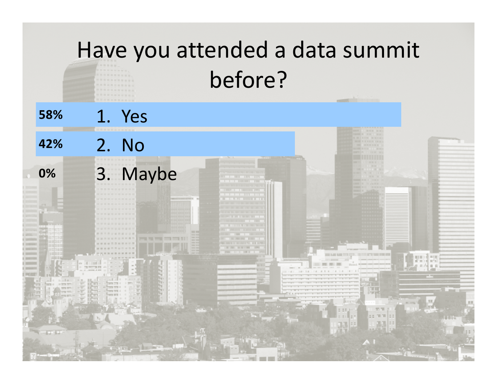# Have you attended <sup>a</sup> data summit before? **58%** 1 Yes . 2. No **42%** 3. Maybe**0%**महा करने के महाव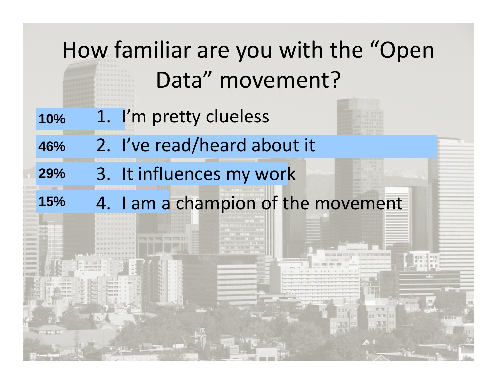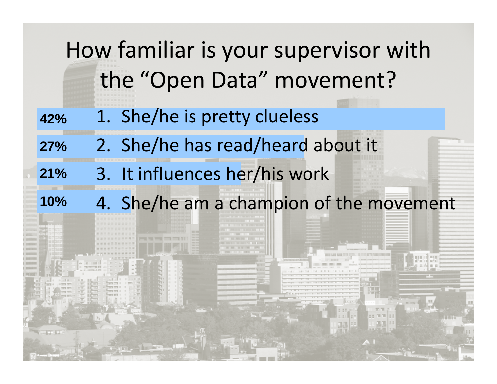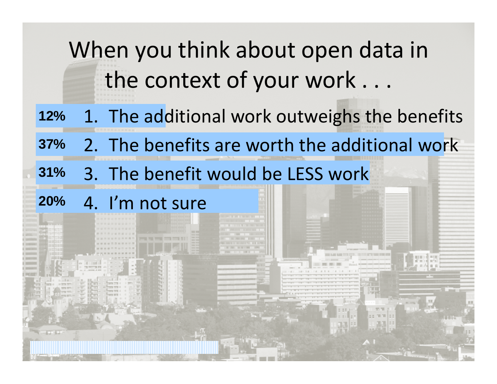When you think about open data in the context of your work . . .

- **12%** 11. The additional work outweighs the benefits
- **37%** 2. The benefits are worth the additional work
- **31%** % 3. The benefit would be LESS work<br>% 4. I'm not sure

**20%** 4. I'm not sure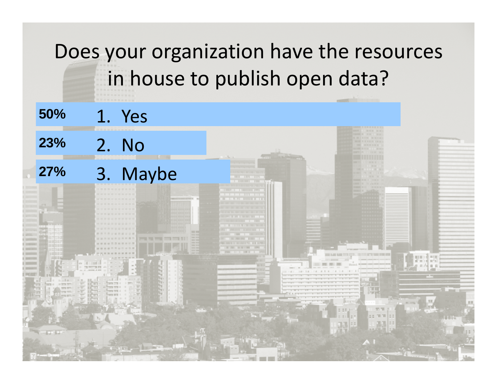### Does your organization have the resources in house to publish open data?

**50%** 1 Yes . **23%**

### **27%** 3. Maybe

2. No

**NOTES IN STRUCT**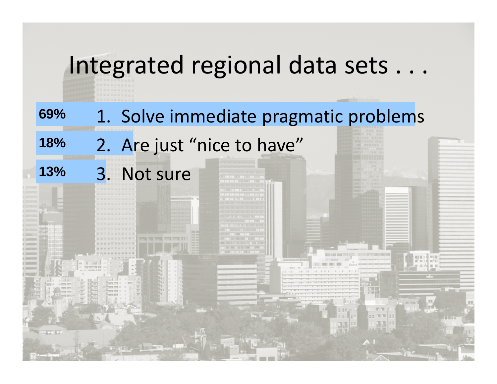### Integrated regional data sets . . .

**69%**% 1. Solve immediate pragmatic problems

**18%** 2. Are just "nice to have"

**13%** 3. Not sure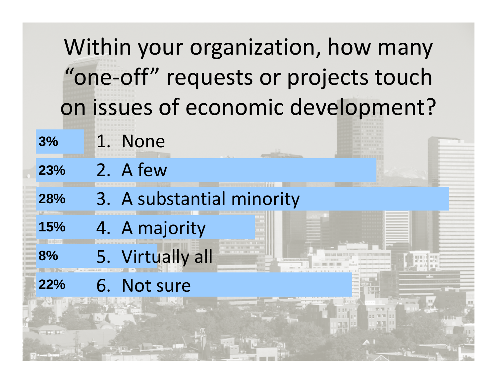| Within your organization, how many |                                      |  |                           |  |  |  |
|------------------------------------|--------------------------------------|--|---------------------------|--|--|--|
|                                    | "one-off" requests or projects touch |  |                           |  |  |  |
|                                    | on issues of economic development?   |  |                           |  |  |  |
|                                    | 3%                                   |  | 1. None                   |  |  |  |
|                                    | 23%                                  |  | 2. A few                  |  |  |  |
|                                    | 28%                                  |  | 3. A substantial minority |  |  |  |
|                                    | 15%                                  |  | 4. A majority             |  |  |  |
|                                    | 8%                                   |  | 5. Virtually all          |  |  |  |
|                                    | 22%                                  |  | 6. Not sure               |  |  |  |
|                                    |                                      |  |                           |  |  |  |

ᆌᆔ

 $A I$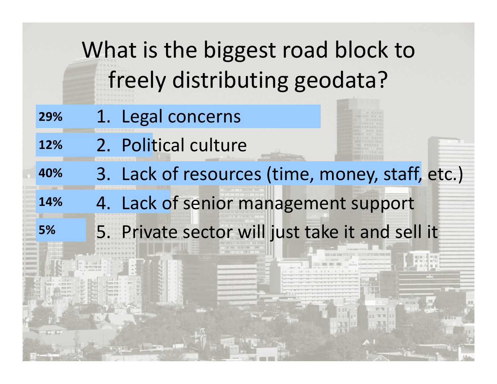# What is the biggest road block to freely distributing geodata?

- **29%**% 1. Legal concerns
- **12%**2. Political culture

### <sup>%</sup> 3. Lack of resources (time, money, staff, etc.)<br>4. Lack of senior management support **40%**

- **14%**4. Lack of senior management support
- **5%**5. Private sector will just take it and sell it